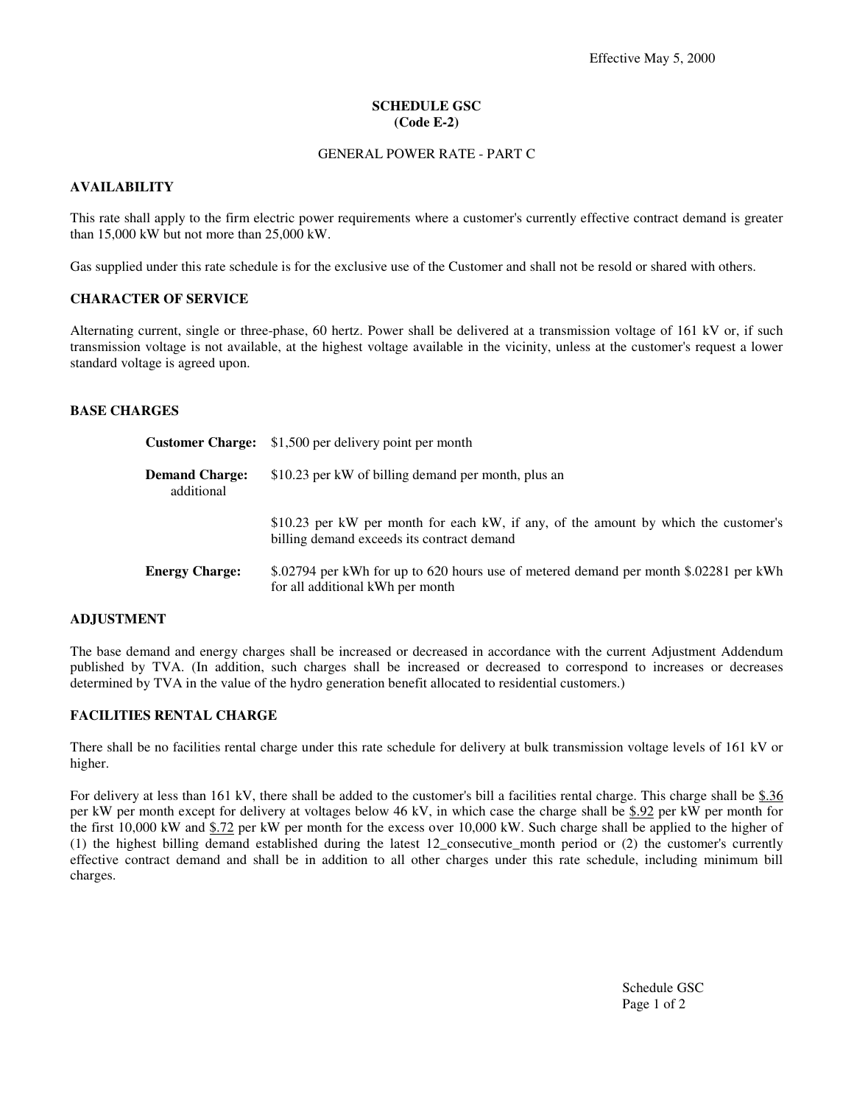# **SCHEDULE GSC (Code E-2)**

### GENERAL POWER RATE - PART C

## **AVAILABILITY**

This rate shall apply to the firm electric power requirements where a customer's currently effective contract demand is greater than 15,000 kW but not more than 25,000 kW.

Gas supplied under this rate schedule is for the exclusive use of the Customer and shall not be resold or shared with others.

### **CHARACTER OF SERVICE**

Alternating current, single or three-phase, 60 hertz. Power shall be delivered at a transmission voltage of 161 kV or, if such transmission voltage is not available, at the highest voltage available in the vicinity, unless at the customer's request a lower standard voltage is agreed upon.

### **BASE CHARGES**

|                                     | <b>Customer Charge:</b> \$1,500 per delivery point per month                                                                      |
|-------------------------------------|-----------------------------------------------------------------------------------------------------------------------------------|
| <b>Demand Charge:</b><br>additional | \$10.23 per kW of billing demand per month, plus an                                                                               |
|                                     | \$10.23 per kW per month for each kW, if any, of the amount by which the customer's<br>billing demand exceeds its contract demand |
| <b>Energy Charge:</b>               | \$.02794 per kWh for up to 620 hours use of metered demand per month \$.02281 per kWh<br>for all additional kWh per month         |

#### **ADJUSTMENT**

The base demand and energy charges shall be increased or decreased in accordance with the current Adjustment Addendum published by TVA. (In addition, such charges shall be increased or decreased to correspond to increases or decreases determined by TVA in the value of the hydro generation benefit allocated to residential customers.)

# **FACILITIES RENTAL CHARGE**

There shall be no facilities rental charge under this rate schedule for delivery at bulk transmission voltage levels of 161 kV or higher.

For delivery at less than 161 kV, there shall be added to the customer's bill a facilities rental charge. This charge shall be \$.36 per kW per month except for delivery at voltages below 46 kV, in which case the charge shall be \$.92 per kW per month for the first 10,000 kW and \$.72 per kW per month for the excess over 10,000 kW. Such charge shall be applied to the higher of (1) the highest billing demand established during the latest 12\_consecutive\_month period or (2) the customer's currently effective contract demand and shall be in addition to all other charges under this rate schedule, including minimum bill charges.

> Schedule GSC Page 1 of 2